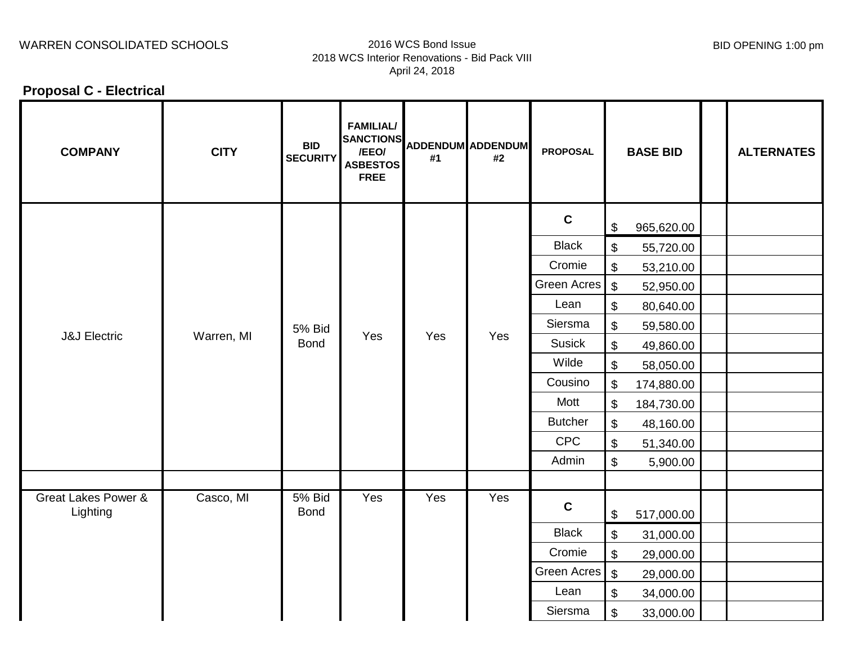## WARREN CONSOLIDATED SCHOOLS 2016 WCS Bond Issue

# 2018 WCS Interior Renovations - Bid Pack VIII April 24, 2018

BID OPENING 1:00 pm

**Proposal C - Electrical**

| <b>COMPANY</b>                             | <b>CITY</b> | <b>BID</b><br><b>SECURITY</b> | <b>FAMILIAL/</b><br>SANCTIONS ADDENDUM ADDENDUM<br><b>ASBESTOS</b><br><b>FREE</b> | #1  | #2  | <b>PROPOSAL</b>    |                           | <b>BASE BID</b> | <b>ALTERNATES</b> |
|--------------------------------------------|-------------|-------------------------------|-----------------------------------------------------------------------------------|-----|-----|--------------------|---------------------------|-----------------|-------------------|
| <b>J&amp;J Electric</b>                    | Warren, MI  | <b>5% Bid</b><br><b>Bond</b>  | Yes                                                                               | Yes | Yes | $\mathbf{C}$       | \$                        | 965,620.00      |                   |
|                                            |             |                               |                                                                                   |     |     | <b>Black</b>       | \$                        | 55,720.00       |                   |
|                                            |             |                               |                                                                                   |     |     | Cromie             | $\boldsymbol{\mathsf{S}}$ | 53,210.00       |                   |
|                                            |             |                               |                                                                                   |     |     | Green Acres        | $\sqrt[6]{3}$             | 52,950.00       |                   |
|                                            |             |                               |                                                                                   |     |     | Lean               | \$                        | 80,640.00       |                   |
|                                            |             |                               |                                                                                   |     |     | Siersma            | \$                        | 59,580.00       |                   |
|                                            |             |                               |                                                                                   |     |     | <b>Susick</b>      | \$                        | 49,860.00       |                   |
|                                            |             |                               |                                                                                   |     |     | Wilde              | $\boldsymbol{\mathsf{S}}$ | 58,050.00       |                   |
|                                            |             |                               |                                                                                   |     |     | Cousino            | $\boldsymbol{\mathsf{S}}$ | 174,880.00      |                   |
|                                            |             |                               |                                                                                   |     |     | Mott               | $\boldsymbol{\mathsf{S}}$ | 184,730.00      |                   |
|                                            |             |                               |                                                                                   |     |     | <b>Butcher</b>     | \$                        | 48,160.00       |                   |
|                                            |             |                               |                                                                                   |     |     | <b>CPC</b>         | \$                        | 51,340.00       |                   |
|                                            |             |                               |                                                                                   |     |     | Admin              | $\boldsymbol{\mathsf{S}}$ | 5,900.00        |                   |
|                                            |             |                               |                                                                                   |     |     |                    |                           |                 |                   |
| <b>Great Lakes Power &amp;</b><br>Lighting | Casco, MI   | <b>5% Bid</b><br><b>Bond</b>  | Yes                                                                               | Yes | Yes | $\mathbf c$        | \$                        | 517,000.00      |                   |
|                                            |             |                               |                                                                                   |     |     | <b>Black</b>       | \$                        | 31,000.00       |                   |
|                                            |             |                               |                                                                                   |     |     | Cromie             | \$                        | 29,000.00       |                   |
|                                            |             |                               |                                                                                   |     |     | <b>Green Acres</b> | $\sqrt[6]{\frac{1}{2}}$   | 29,000.00       |                   |
|                                            |             |                               |                                                                                   |     |     | Lean               | \$                        | 34,000.00       |                   |
|                                            |             |                               |                                                                                   |     |     | Siersma            | \$                        | 33,000.00       |                   |